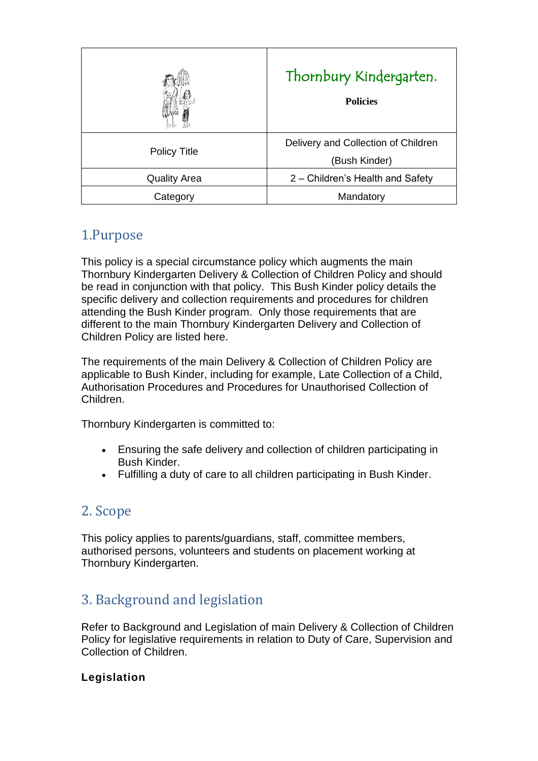|                     | Thornbury Kindergarten.<br><b>Policies</b>           |
|---------------------|------------------------------------------------------|
| <b>Policy Title</b> | Delivery and Collection of Children<br>(Bush Kinder) |
| <b>Quality Area</b> | 2 – Children's Health and Safety                     |
| Category            | Mandatory                                            |

# 1.Purpose

This policy is a special circumstance policy which augments the main Thornbury Kindergarten Delivery & Collection of Children Policy and should be read in conjunction with that policy. This Bush Kinder policy details the specific delivery and collection requirements and procedures for children attending the Bush Kinder program. Only those requirements that are different to the main Thornbury Kindergarten Delivery and Collection of Children Policy are listed here.

The requirements of the main Delivery & Collection of Children Policy are applicable to Bush Kinder, including for example, Late Collection of a Child, Authorisation Procedures and Procedures for Unauthorised Collection of Children.

Thornbury Kindergarten is committed to:

- Ensuring the safe delivery and collection of children participating in Bush Kinder.
- Fulfilling a duty of care to all children participating in Bush Kinder.

# 2. Scope

This policy applies to parents/guardians, staff, committee members, authorised persons, volunteers and students on placement working at Thornbury Kindergarten.

# 3. Background and legislation

Refer to Background and Legislation of main Delivery & Collection of Children Policy for legislative requirements in relation to Duty of Care, Supervision and Collection of Children.

#### **Legislation**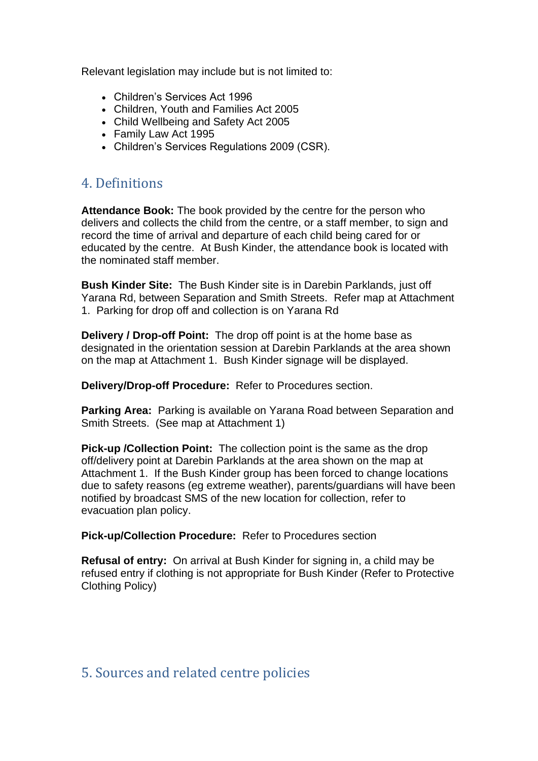Relevant legislation may include but is not limited to:

- Children's Services Act 1996
- Children, Youth and Families Act 2005
- Child Wellbeing and Safety Act 2005
- Family Law Act 1995
- Children's Services Regulations 2009 (CSR).

## 4. Definitions

**Attendance Book:** The book provided by the centre for the person who delivers and collects the child from the centre, or a staff member, to sign and record the time of arrival and departure of each child being cared for or educated by the centre. At Bush Kinder, the attendance book is located with the nominated staff member.

**Bush Kinder Site:** The Bush Kinder site is in Darebin Parklands, just off Yarana Rd, between Separation and Smith Streets. Refer map at Attachment 1. Parking for drop off and collection is on Yarana Rd

**Delivery / Drop-off Point:** The drop off point is at the home base as designated in the orientation session at Darebin Parklands at the area shown on the map at Attachment 1. Bush Kinder signage will be displayed.

**Delivery/Drop-off Procedure:** Refer to Procedures section.

**Parking Area:** Parking is available on Yarana Road between Separation and Smith Streets. (See map at Attachment 1)

**Pick-up /Collection Point:** The collection point is the same as the drop off/delivery point at Darebin Parklands at the area shown on the map at Attachment 1. If the Bush Kinder group has been forced to change locations due to safety reasons (eg extreme weather), parents/guardians will have been notified by broadcast SMS of the new location for collection, refer to evacuation plan policy.

**Pick-up/Collection Procedure:** Refer to Procedures section

**Refusal of entry:** On arrival at Bush Kinder for signing in, a child may be refused entry if clothing is not appropriate for Bush Kinder (Refer to Protective Clothing Policy)

### 5. Sources and related centre policies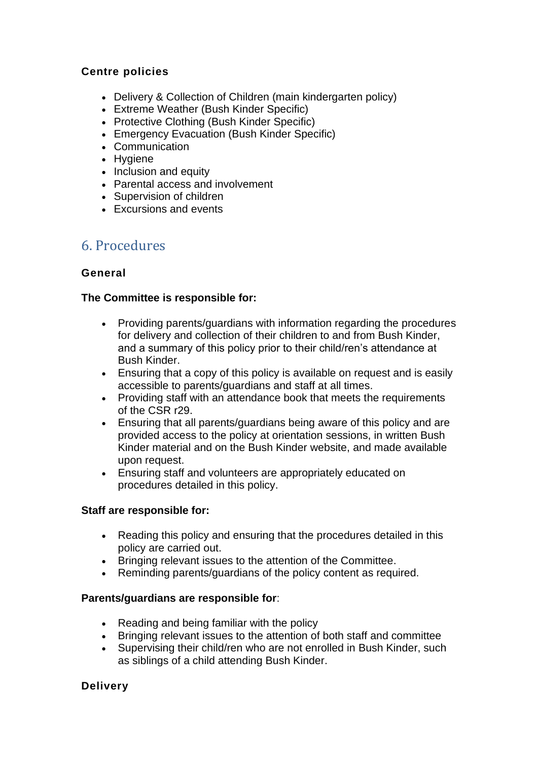#### **Centre policies**

- Delivery & Collection of Children (main kindergarten policy)
- Extreme Weather (Bush Kinder Specific)
- Protective Clothing (Bush Kinder Specific)
- Emergency Evacuation (Bush Kinder Specific)
- Communication
- Hygiene
- Inclusion and equity
- Parental access and involvement
- Supervision of children
- Excursions and events

## 6. Procedures

#### **General**

#### **The Committee is responsible for:**

- Providing parents/guardians with information regarding the procedures for delivery and collection of their children to and from Bush Kinder, and a summary of this policy prior to their child/ren's attendance at Bush Kinder.
- Ensuring that a copy of this policy is available on request and is easily accessible to parents/guardians and staff at all times.
- Providing staff with an attendance book that meets the requirements of the CSR r29.
- Ensuring that all parents/guardians being aware of this policy and are provided access to the policy at orientation sessions, in written Bush Kinder material and on the Bush Kinder website, and made available upon request.
- Ensuring staff and volunteers are appropriately educated on procedures detailed in this policy.

#### **Staff are responsible for:**

- Reading this policy and ensuring that the procedures detailed in this policy are carried out.
- Bringing relevant issues to the attention of the Committee.
- Reminding parents/guardians of the policy content as required.

#### **Parents/guardians are responsible for**:

- Reading and being familiar with the policy
- Bringing relevant issues to the attention of both staff and committee
- Supervising their child/ren who are not enrolled in Bush Kinder, such as siblings of a child attending Bush Kinder.

#### **Delivery**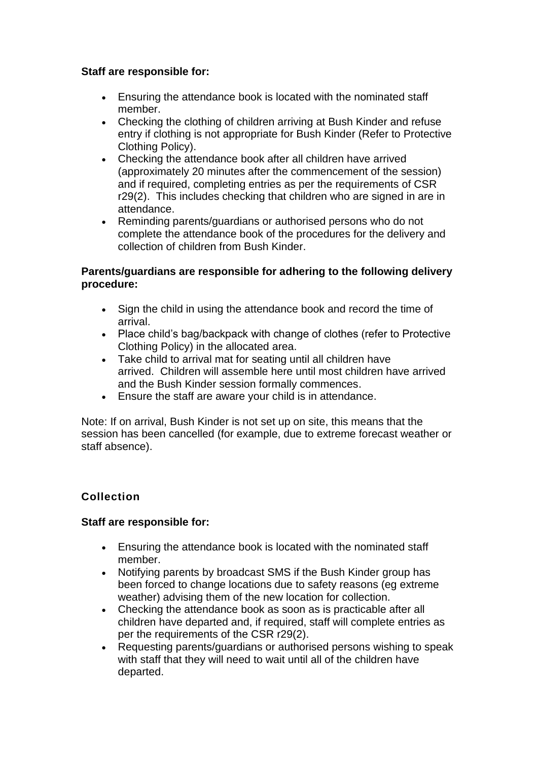#### **Staff are responsible for:**

- Ensuring the attendance book is located with the nominated staff member.
- Checking the clothing of children arriving at Bush Kinder and refuse entry if clothing is not appropriate for Bush Kinder (Refer to Protective Clothing Policy).
- Checking the attendance book after all children have arrived (approximately 20 minutes after the commencement of the session) and if required, completing entries as per the requirements of CSR r29(2). This includes checking that children who are signed in are in attendance.
- Reminding parents/guardians or authorised persons who do not complete the attendance book of the procedures for the delivery and collection of children from Bush Kinder.

#### **Parents/guardians are responsible for adhering to the following delivery procedure:**

- Sign the child in using the attendance book and record the time of arrival.
- Place child's bag/backpack with change of clothes (refer to Protective Clothing Policy) in the allocated area.
- Take child to arrival mat for seating until all children have arrived. Children will assemble here until most children have arrived and the Bush Kinder session formally commences.
- Ensure the staff are aware your child is in attendance.

Note: If on arrival, Bush Kinder is not set up on site, this means that the session has been cancelled (for example, due to extreme forecast weather or staff absence).

#### **Collection**

#### **Staff are responsible for:**

- Ensuring the attendance book is located with the nominated staff member.
- Notifying parents by broadcast SMS if the Bush Kinder group has been forced to change locations due to safety reasons (eg extreme weather) advising them of the new location for collection.
- Checking the attendance book as soon as is practicable after all children have departed and, if required, staff will complete entries as per the requirements of the CSR r29(2).
- Requesting parents/guardians or authorised persons wishing to speak with staff that they will need to wait until all of the children have departed.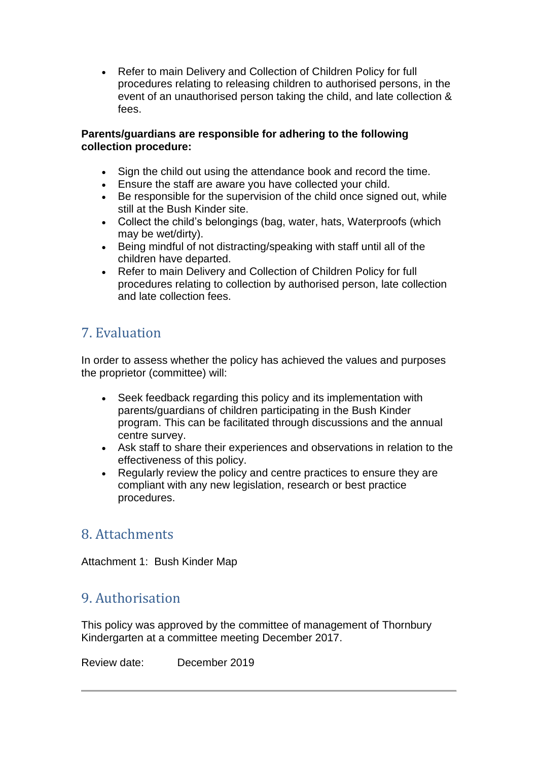• Refer to main Delivery and Collection of Children Policy for full procedures relating to releasing children to authorised persons, in the event of an unauthorised person taking the child, and late collection & fees.

#### **Parents/guardians are responsible for adhering to the following collection procedure:**

- Sign the child out using the attendance book and record the time.
- Ensure the staff are aware you have collected your child.
- Be responsible for the supervision of the child once signed out, while still at the Bush Kinder site.
- Collect the child's belongings (bag, water, hats, Waterproofs (which may be wet/dirty).
- Being mindful of not distracting/speaking with staff until all of the children have departed.
- Refer to main Delivery and Collection of Children Policy for full procedures relating to collection by authorised person, late collection and late collection fees.

# 7. Evaluation

In order to assess whether the policy has achieved the values and purposes the proprietor (committee) will:

- Seek feedback regarding this policy and its implementation with parents/guardians of children participating in the Bush Kinder program. This can be facilitated through discussions and the annual centre survey.
- Ask staff to share their experiences and observations in relation to the effectiveness of this policy.
- Regularly review the policy and centre practices to ensure they are compliant with any new legislation, research or best practice procedures.

## 8. Attachments

Attachment 1: Bush Kinder Map

# 9. Authorisation

This policy was approved by the committee of management of Thornbury Kindergarten at a committee meeting December 2017.

Review date: December 2019